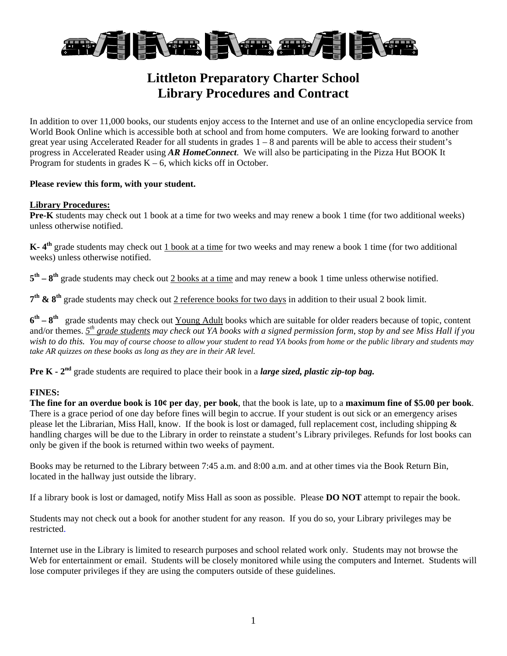

# **Littleton Preparatory Charter School Library Procedures and Contract**

In addition to over 11,000 books, our students enjoy access to the Internet and use of an online encyclopedia service from World Book Online which is accessible both at school and from home computers. We are looking forward to another great year using Accelerated Reader for all students in grades  $1 - 8$  and parents will be able to access their student's progress in Accelerated Reader using *AR HomeConnect*. We will also be participating in the Pizza Hut BOOK It Program for students in grades  $K - 6$ , which kicks off in October.

## **Please review this form, with your student.**

#### **Library Procedures:**

**Pre-K** students may check out 1 book at a time for two weeks and may renew a book 1 time (for two additional weeks) unless otherwise notified.

**K- 4th** grade students may check out 1 book at a time for two weeks and may renew a book 1 time (for two additional weeks) unless otherwise notified.

**5th – 8th** grade students may check out 2 books at a time and may renew a book 1 time unless otherwise notified.

**7th & 8th** grade students may check out 2 reference books for two days in addition to their usual 2 book limit.

**6th – 8th** grade students may check out Young Adult books which are suitable for older readers because of topic, content and/or themes. *5th grade students may check out YA books with a signed permission form*, s*top by and see Miss Hall if you wish to do this. You may of course choose to allow your student to read YA books from home or the public library and students may take AR quizzes on these books as long as they are in their AR level.* 

**Pre K - 2nd** grade students are required to place their book in a *large sized, plastic zip-top bag.*

## **FINES:**

**The fine for an overdue book is 10¢ per day**, **per book**, that the book is late, up to a **maximum fine of \$5.00 per book**. There is a grace period of one day before fines will begin to accrue. If your student is out sick or an emergency arises please let the Librarian, Miss Hall, know. If the book is lost or damaged, full replacement cost, including shipping & handling charges will be due to the Library in order to reinstate a student's Library privileges. Refunds for lost books can only be given if the book is returned within two weeks of payment.

Books may be returned to the Library between 7:45 a.m. and 8:00 a.m. and at other times via the Book Return Bin, located in the hallway just outside the library.

If a library book is lost or damaged, notify Miss Hall as soon as possible. Please **DO NOT** attempt to repair the book.

Students may not check out a book for another student for any reason. If you do so, your Library privileges may be restricted.

Internet use in the Library is limited to research purposes and school related work only. Students may not browse the Web for entertainment or email. Students will be closely monitored while using the computers and Internet. Students will lose computer privileges if they are using the computers outside of these guidelines.